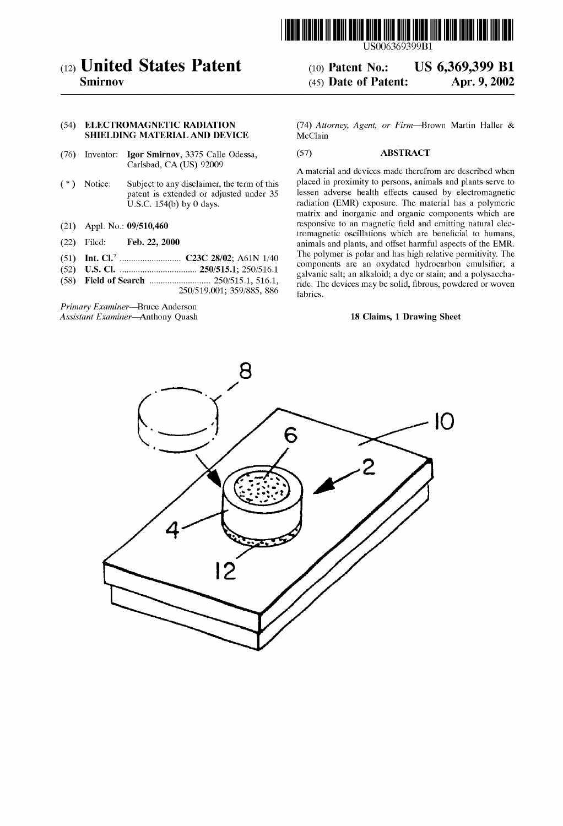

# (12) United States Patent

Smirnov

### (54) ELECTROMAGNETIC RADIATION SHIELDING MATERIAL AND DEVICE

- (76) Inventor: Igor Smirnov, 3375 Calle Odessa, Carlsbad, CA (US) 92009
- (\*) Notice: Subject to any disclaimer, the term of this patent is extended or adjusted under 35 U.S.C. 154(b) by 0 days.
- (21) Appl. No.: 09/510,460
- (22) Filed: Feb. 22, 2000
- (51) Int. Cl." ...... ... C23C 28/02; A61N 1/40
- (52) U.S. Cl. .................................. 250/515.1; 250/516.1
- (58) Field of Search ........................... 250/515.1, 516.1, 250/519.001; 359/885, 886

Primary Examiner-Bruce Anderson Assistant Examiner-Anthony Quash (74) Attorney, Agent, or Firm-Brown Martin Haller & **McClain** 

(10) Patent No.: US 6,369,399 B1<br>(45) Date of Patent: Apr. 9, 2002

## (57) ABSTRACT

 $(45)$  Date of Patent:

A material and devices made therefrom are described when placed in proximity to persons, animals and plants serve to lessen adverse health effects caused by electromagnetic radiation (EMR) exposure. The material has a polymeric matrix and inorganic and organic components which are responsive to an magnetic field and emitting natural elec tromagnetic oscillations which are beneficial to humans, animals and plants, and offset harmful aspects of the EMR. The polymer is polar and has high relative permitivity. The components are an oxydated hydrocarbon emulsifier; a galvanic Salt, an alkaloid; a dye or Stain; and a polysaccha ride. The devices may be solid, fibrous, powdered or woven fabrics.

## 18 Claims, 1 Drawing Sheet

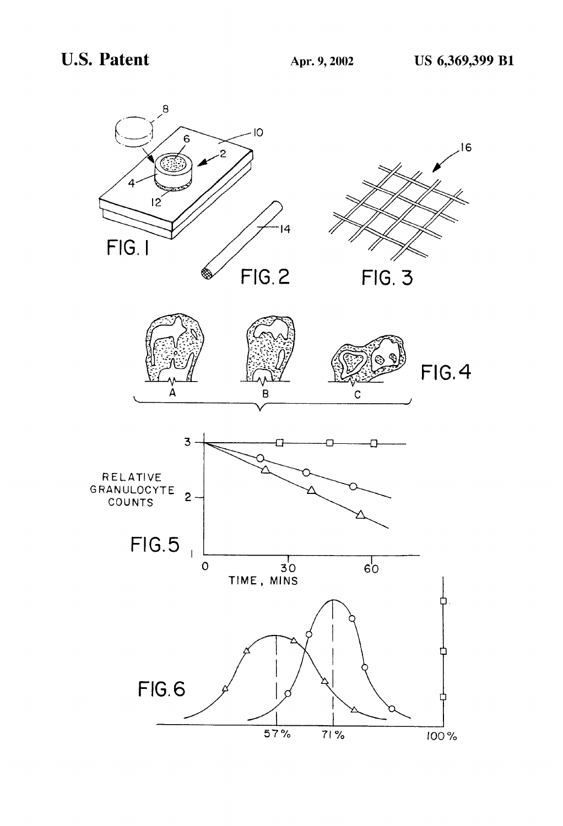## U.S. Patent Apr. 9, 2002 US 6,369,399 B1

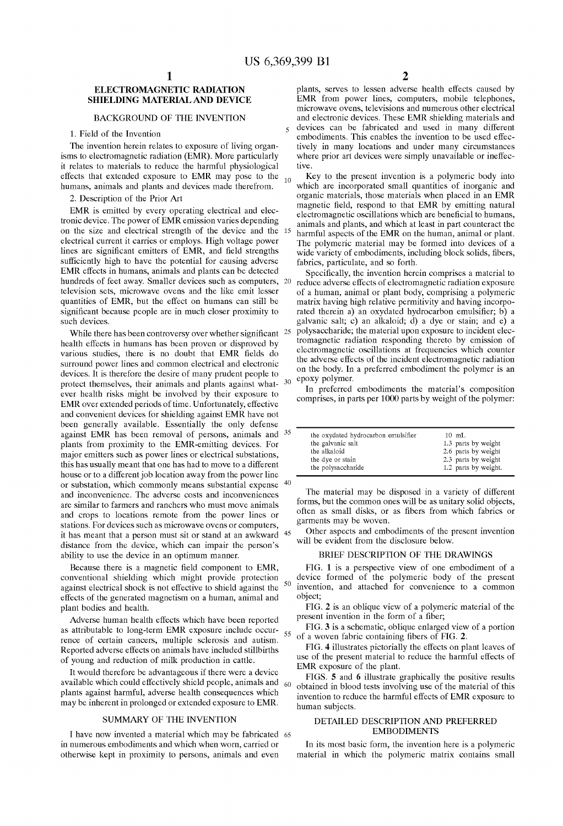50

60

## ELECTROMAGNETIC RADIATION SHIELDING MATERIAL AND DEVICE

#### BACKGROUND OF THE INVENTION

1. Field of the Invention

The invention herein relates to exposure of living organisms to electromagnetic radiation (EMR). More particularly it relates to materials to reduce the harmful physiological effects that extended exposure to EMR may pose to the  $_{10}$ humans, animals and plants and devices made therefrom.

2. Description of the Prior Art

EMR is emitted by every operating electrical and elec tronic device. The power of EMR emission varies depending on the size and electrical Strength of the device and the 15 electrical current it carries or employs. High voltage power<br>lines are significant emitters of EMR, and field strengths sufficiently high to have the potential for causing adverse EMR effects in humans, animals and plants can be detected hundreds of feet away. Smaller devices such as computers, 20 television Sets, microwave Ovens and the like emit lesser quantities of EMR, but the effect on humans can still be significant because people are in much closer proximity to such devices.

While there has been controversy over whether significant  $25$ health effects in humans has been proven or disproved by various studies, there is no doubt that EMR fields do surround power lines and common electrical and electronic devices. It is therefore the desire of many prudent people to protect themselves, their animals and plants against what- 30 ever health risks might be involved by their exposure to EMR over extended periods of time. Unfortunately, effective and convenient devices for shielding against EMR have not been generally available. Essentially the only defense against EMR has been removal of persons, animals and  $35$ plants from proximity to the EMR-emitting devices. For major emitters such as power lines or electrical substations, this has usually meant that one has had to move to a different house or to a different job location away from the power line or substation, which commonly means substantial expense <sup>40</sup> and inconvenience. The adverse costs and inconveniences are similar to farmers and ranchers who must move animals and crops to locations remote from the power lines or stations. For devices such as microwave ovens or computers, stations. For devices such as microwave ovens or computers,<br>it has meant that a person must sit or stand at an awkward <sup>45</sup> distance from the device, which can impair the person's ability to use the device in an optimum manner.

Because there is a magnetic field component to EMR, conventional Shielding which might provide protection against electrical Shock is not effective to shield against the effects of the generated magnetism on a human, animal and plant bodies and health.

Adverse human health effects which have been reported as attributable to long-term EMR exposure include occur-  $_{55}$ rence of certain cancers, multiple Sclerosis and autism. Reported adverse effects on animals have included stillbirths of young and reduction of milk production in cattle.

It would therefore be advantageous if there were a device available which could effectively shield people, animals and plants against harmful, adverse health consequences which may be inherent in prolonged or extended exposure to EMR.

#### SUMMARY OF THE INVENTION

I have now invented a material which may be fabricated 65 in numerous embodiments and which when worn, carried or otherwise kept in proximity to persons, animals and even

2<br>plants, serves to lessen adverse health effects caused by EMR from power lines, computers, mobile telephones, microwave ovens, televisions and numerous other electrical and electronic devices. These EMR shielding materials and devices can be fabricated and used in many different embodiments. This enables the invention to be used effec tively in many locations and under many circumstances where prior art devices were simply unavailable or ineffec tive.

Key to the present invention is a polymeric body into which are incorporated Small quantities of inorganic and organic materials, those materials when placed in an EMR magnetic field, respond to that EMR by emitting natural electromagnetic oscillations which are beneficial to humans, animals and plants, and which at least in part counteract the harmful aspects of the EMR on the human, animal or plant. The polymeric material may be formed into devices of a wide variety of embodiments, including block solids, fibers, fabrics, particulate, and so forth.

Specifically, the invention herein comprises a material to reduce adverse effects of electromagnetic radiation exposure of a human, animal or plant body, comprising a polymeric matrix having high relative permitivity and having incorporated therein a) an oxydated hydrocarbon emulsifier; b) a galvanic salt; c) an alkaloid; d) a dye or stain; and e) a polysaccharide; the material upon exposure to incident elec tromagnetic radiation responding thereto by emission of electromagnetic oscillations at frequencies which counter the adverse effects of the incident electromagnetic radiation on the body. In a preferred embodiment the polymer is an epoxy polymer.

In preferred embodiments the material's composition comprises, in parts per 1000 parts by weight of the polymer:

| the oxydated hydrocarbon emulsifier | $10$ mL              |
|-------------------------------------|----------------------|
| the galvanic salt                   | 1.3 parts by weight  |
| the alkaloid                        | 2.6 parts by weight  |
| the dye or stain                    | 2.3 parts by weight  |
| the polysaccharide                  | 1.2 parts by weight. |

The material may be disposed in a variety of different forms, but the common ones will be as unitary Solid objects, often as Small disks, or as fibers from which fabrics or garments may be woven.

Other aspects and embodiments of the present invention will be evident from the disclosure below.

#### BRIEF DESCRIPTION OF THE DRAWINGS

FIG. 1 is a perspective view of one embodiment of a device formed of the polymeric body of the present invention, and attached for convenience to a common object;

FIG. 2 is an oblique view of a polymeric material of the present invention in the form of a fiber;

FIG. 3 is a schematic, oblique enlarged view of a portion of a woven fabric containing fibers of FIG. 2.

FIG. 4 illustrates pictorially the effects on plant leaves of use of the present material to reduce the harmful effects of EMR exposure of the plant.

FIGS. 5 and 6 illustrate graphically the positive results obtained in blood tests involving use of the material of this invention to reduce the harmful effects of EMR exposure to human subjects.

#### DETAILED DESCRIPTION AND PREFERRED EMBODIMENTS

In its most basic form, the invention here is a polymeric material in which the polymeric matrix contains Small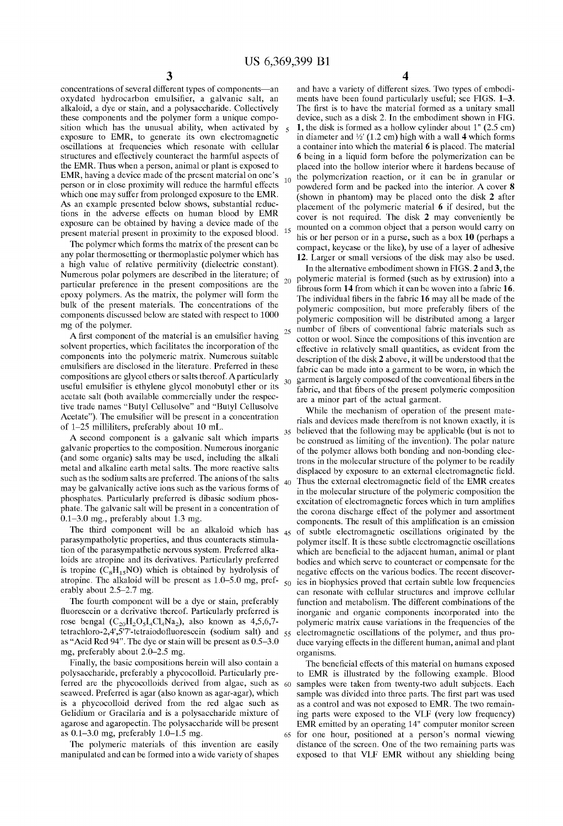$10<sup>10</sup>$ 

25

35

 $30$ 

concentrations of several different types of components—an oxydated hydrocarbon emulsifier, a galvanic salt, an alkaloid, a dye or stain, and a polysaccharide. Collectively these components and the polymer form a unique composition which has the unusual ability, when activated by exposure to EMR, to generate its own electromagnetic oscillations at frequencies which resonate with cellular structures and effectively counteract the harmful aspects of the EMR. Thus when a person, animal or plant is exposed to EMR, having a device made of the present material on one's person or in close proximity will reduce the harmful effects which one may suffer from prolonged exposure to the EMR. As an example presented below shows, substantial reductions in the adverse effects on human blood by EMR exposure can be obtained by having a device made of the present material present in proximity to the exposed blood. 15

The polymer which forms the matrix of the present can be any polar thermosetting or thermoplastic polymer which has a high value of relative permitivity (dielectric constant). Numerous polar polymers are described in the literature; of particular preference in the present compositions are the epoxy polymers. AS the matrix, the polymer will form the bulk of the present materials. The concentrations of the components discussed below are stated with respect to 1000 mg of the polymer.

A first component of the material is an emulsifier having solvent properties, which facilitates the incorporation of the components into the polymeric matrix. Numerous suitable emulsifiers are disclosed in the literature. Preferred in these compositions are glycol ethers or Salts thereof. Aparticularly useful emulsifier is ethylene glycol monobutyl ether or its acetate salt (both available commercially under the respective trade names "Butyl Cellusolve" and "Butyl Cellusolve Acetate"). The emulsifier will be present in a concentration

of 1–25 milliliters, preferably about 10 mL.<br>A second component is a galvanic salt which imparts galvanic properties to the composition. Numerous inorganic (and some organic) salts may be used, including the alkali metal and alkaline earth metal Salts. The more reactive Salts such as the sodium salts are preferred. The anions of the salts may be galvanically active ions Such as the various forms of phosphates. Particularly preferred is dibasic sodium phosphate. The galvanic Salt will be present in a concentration of 0.1-3.0 mg., preferably about 1.3 mg.

parasympatholytic properties, and thus counteracts Stimula tion of the parasympathetic nervous System. Preferred alka loids are atropine and its derivatives. Particularly preferred is tropine  $(C_8H_1SNO)$  which is obtained by hydrolysis of atropine. The alkaloid will be present as 1.0–5.0 mg, pref erably about 2.5-2.7 mg.

The fourth component will be a dye or stain, preferably fluorescein or a derivative thereof. Particularly preferred is rose bengal  $(C_{20}H_2O_5I_4Cl_4Na_2)$ , also known as 4,5,6,7tetrachloro-2,4',5''-tetraiodofluorescein (sodium salt) and  $_{55}$ as "Acid Red 94'. The dye or stain will be present as 0.5-3.0 mg, preferably about 2.0–2.5 mg.

Finally, the basic compositions herein will also contain a polysaccharide, preferably a phycocolloid. Particularly pre ferred are the phycocolloids derived from algae, Such as seaweed. Preferred is agar (also known as agar-agar), which is a phycocolloid derived from the red algae Such as Gelidium or Gracilaria and is a polysaccharide mixture of agarose and agaropectin. The polysaccharide will be present as 0.1-3.0 mg, preferably 1.0-1.5 mg. 60

The polymeric materials of this invention are easily manipulated and can be formed into a wide variety of shapes

4

and have a variety of different sizes. Two types of embodi ments have been found particularly useful; see FIGS. 1-3. The first is to have the material formed as a unitary small device, such as a disk 2. In the embodiment shown in FIG.<br>1. the disk is formed as a hollow cylinder about  $1$ " (2.5 cm) in diameter and  $\frac{1}{2}$  (1.2 cm) high with a wall 4 which forms a container into which the material 6 is placed. The material 6 being in a liquid form before the polymerization can be placed into the hollow interior where it hardens because of the polymerization reaction, or it can be in granular or powdered form and be packed into the interior. A cover 8 (shown in phantom) may be placed onto the disk 2 after placement of the polymeric material 6 if desired, but the cover is not required. The disk 2 may conveniently be mounted on a common object that a person would carry on his or her person or in a purse, such as a box 10 (perhaps a compact, keycase or the like), by use of a layer of adhesive 12. Larger or Small versions of the disk may also be used.

In the alternative embodiment shown in FIGS. 2 and 3, the  $_{20}$  polymeric material is formed (such as by extrusion) into a fibrous form 14 from which it can be woven into a fabric 16. The individual fibers in the fabric 16 may all be made of the polymeric composition, but more preferably fibers of the polymeric composition will be distributed among a larger number of fibers of conventional fabric materials such as cotton or wool. Since the compositions of this invention are effective in relatively Small quantities, as evident from the description of the disk 2 above, it will be understood that the fabric can be made into a garment to be worn, in which the garment is largely composed of the conventional fibers in the fabric, and that fibers of the present polymeric composition are a minor part of the actual garment.

The third component will be an alkaloid which has  $_{45}$  of subtle electromagnetic oscillations originated by the 40 50 ies in biophysics proved that certain Subtle low frequencies While the mechanism of operation of the present mate rials and devices made therefrom is not known exactly, it is believed that the following may be applicable (but is not to be construed as limiting of the invention). The polar nature of the polymer allows both bonding and non-bonding electrons in the molecular structure of the polymer to be readily displaced by exposure to an external electromagnetic field. Thus the external electromagnetic field of the EMR creates in the molecular structure of the polymeric composition the excitation of electromagnetic forces which in turn amplifies the corona discharge effect of the polymer and assortment components. The result of this amplification is an emission polymer itself. It is these subtle electromagnetic oscillations which are beneficial to the adjacent human, animal or plant bodies and which Serve to counteract or compensate for the negative effects on the various bodies. The recent discover can resonate with cellular structures and improve cellular function and metabolism. The different combinations of the inorganic and organic components incorporated into the polymeric matrix cause variations in the frequencies of the electromagnetic oscillations of the polymer, and thus pro duce varying effects in the different human, animal and plant organisms.

> 65 for one hour, positioned at a person's normal viewing The beneficial effects of this material on humans exposed to EMR is illustrated by the following example. Blood samples were taken from twenty-two adult subjects. Each sample was divided into three parts. The first part was used as a control and was not exposed to EMR. The two remain ing parts were exposed to the VLF (very low frequency) EMR emitted by an operating 14" computer monitor screen distance of the screen. One of the two remaining parts was exposed to that VLF EMR without any shielding being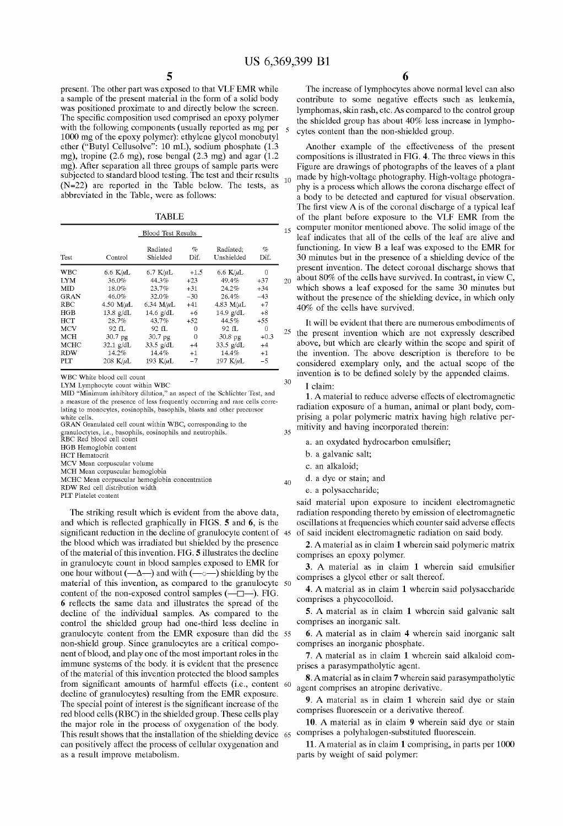5

present. The other part was exposed to that VLF EMR while a sample of the present material in the form of a solid body was positioned proximate to and directly below the screen.<br>The specific composition used comprised an epoxy polymer with the following components (usually reported as mg per 1000 mg of the epoxy polymer): ethylene glycol monobutyl ether ("Butyl Cellusolve": 10 mL), sodium phosphate (1.3 mg), tropine (2.6 mg), rose bengal (2.3 mg) and agar (1.2 mg). After separation all three groups of Sample parts were subjected to standard blood testing. The test and their results (N=22) are reported in the Table below. The tests, as abbreviated in the Table, were as follows:

TABLE

|             | <b>Blood Test Results</b> |                      |           | 15                      |           |    |
|-------------|---------------------------|----------------------|-----------|-------------------------|-----------|----|
| Test        | Control                   | Radiated<br>Shielded | %<br>Dif. | Radiated:<br>Unshielded | %<br>Dif. |    |
| <b>WBC</b>  | 6.6 $K/\mu L$             | 6.7 $K/\mu L$        | $+1.5$    | 6.6 K/ $\mu$ L          | 0         |    |
| <b>LYM</b>  | 36.0%                     | 44.3%                | $+23$     | 49.4%                   | $+37$     | 20 |
| <b>MID</b>  | 18.0%                     | 23.7%                | $+31$     | $24.2\%$                | $+34$     |    |
| <b>GRAN</b> | 46.0%                     | 32.0%                | $-30$     | 26.4%                   | $-43$     |    |
| RBC         | 4.50 $M/\mu L$            | 6.34 $M/\mu L$       | $+41$     | 4.83 $M/\mu L$          | $+7$      |    |
| HGB         | $13.8$ g/dL               | 14.6 $g/dL$          | $+6$      | 14.9 $g/dL$             | $+8$      |    |
| HCT         | 28.7%                     | 43.7%                | $+52$     | 44.5%                   | $+55$     |    |
| <b>MCV</b>  | 92 fL                     | 92 fL                | 0         | 92 fL                   | 0         | 25 |
| <b>MCH</b>  | 30.7 pg                   | 30.7 pg              | 0         | 30.8 <sub>pg</sub>      | $+0.3$    |    |
| MCHC        | $32.1$ g/dL               | $33.5$ g/dL          | $+4$      | $33.5$ g/dL             | $+4$      |    |
| <b>RDW</b>  | 14.2%                     | 14.4%                | $+1$      | 14.4%                   | $+1$      |    |
| PLT         | 208 K/ $\mu$ L            | 193 $K/\mu L$        | $-7$      | 197 K/ $\mu$ L          | $-5$      |    |

WBC White blood cell count

LYM Lymphocyte count within WBC

MID "Minimum inhibitory dilution," an aspect of the Schlichter Test, and a measure of the presence of less frequently occurring and rare cells corre lating to monocytes, eosinophils, basophils, blasts and other precursor white cells.

GRAN Granulated cell count within WBC, corresponding to the

granuloctytes, i.e., basophils, eosinophils and neutrophils. RBC Red blood cell count

HGB Hemoglobin content

HCT Hematocrit

MCV Mean corpuscular volume

MCH Mean corpuscular hemoglobin

MCHC Mean corpuscular hemoglobin concentration RDW Red cell distribution width

PLT Platelet content

The striking result which is evident from the above data, and which is reflected graphically in FIGS. 5 and 6, is the significant reduction in the decline of granulocyte content of 45 of said incident electromagnetic radiation on said body. the blood which was irradiated but shielded by the presence of the material of this invention. FIG. 5 illustrates the decline in granulocyte count in blood Samples exposed to EMR for one hour without  $(-\Delta)$  and with  $(-\Delta)$  shielding by the material of this invention, as compared to the granulocyte 50 content of the non-exposed control samples  $(-\Box -)$ . FIG. 6 reflects the Same data and illustrates the spread of the decline of the individual Samples. AS compared to the control the shielded group had one-third less decline in granulocyte content from the EMR exposure than did the 55 non-shield group. Since granulocytes are a critical compo nent of blood, and play one of the most important roles in the immune Systems of the body. it is evident that the presence of the material of this invention protected the blood samples from significant amounts of harmful effects (i.e., content 60 decline of granulocytes) resulting from the EMR exposure. The special point of interest is the significant increase of the red blood cells (RBC) in the shielded group. These cells play the major role in the process of oxygenation of the body. This result shows that the installation of the shielding device 65 comprises a polyhalogen-Substituted fluorescein. can positively affect the process of cellular oxygenation and as a result improve metabolism.

6

The increase of lymphocytes above normal level can also contribute to some negative effects such as leukemia, lymphomas, skin rash, etc. AS compared to the control group the Shielded group has about 40% less increase in lympho cytes content than the non-shielded group.

Another example of the effectiveness of the present compositions is illustrated in FIG. 4. The three views in this Figure are drawings of photographs of the leaves of a plant  $\frac{10}{10}$  made by high-voltage photography. High-voltage photography is a process which allows the corona discharge effect of a body to be detected and captured for visual observation. The first view A is of the coronal discharge of a typical leaf of the plant before exposure to the VLF EMR from the computer monitor mentioned above. The Solid image of the leaf indicates that all of the cells of the leaf are alive and functioning. In view B a leaf was exposed to the EMR for 30 minutes but in the presence of a shielding device of the present invention. The detect coronal discharge shows that about 80% of the cells have Survived. In contrast, in view C, which shows a leaf exposed for the same 30 minutes but without the presence of the shielding device, in which only 40% of the cells have survived.

It will be evident that there are numerous embodiments of  $t<sup>15</sup>$  the present invention which are not expressly described above, but which are clearly within the scope and spirit of the invention. The above description is therefore to be considered exemplary only, and the actual Scope of the invention is to be defined Solely by the appended claims.

I claim:

3O

 $25$ 

40

1. A material to reduce adverse effects of electromagnetic radiation exposure of a human, animal or plant body, com prising a polar polymeric matrix having high relative per mitivity and having incorporated therein:

a. an OXydated hydrocarbon emulsifier;

- b. a galvanic Salt,
- c. an alkaloid;
- d. a dye or Stain; and

e. a polysaccharide;

said material upon exposure to incident electromagnetic radiation responding thereto by emission of electromagnetic oscillations at frequencies which counter Said adverse effects

2. A material as in claim 1 wherein Said polymeric matrix comprises an epoxy polymer.

3. A material as in claim 1 wherein Said emulsifier comprises a glycol ether or salt thereof.

4. A material as in claim 1 wherein Said polysaccharide comprises a phycocolloid.

5. A material as in claim 1 wherein Said galvanic Salt comprises an inorganic Salt.

6. A material as in claim 4 wherein Said inorganic Salt comprises an inorganic phosphate.

7. A material as in claim 1 wherein Said alkaloid com prises a parasympatholytic agent.

8. Amaterial as in claim 7 wherein Said parasympatholytic agent comprises an atropine derivative.

9. A material as in claim 1 wherein said dye or stain comprises fluorescein or a derivative thereof.

10. A material as in claim 9 wherein said dye or stain

11. A material as in claim 1 comprising, in parts per 1000 parts by weight of Said polymer: